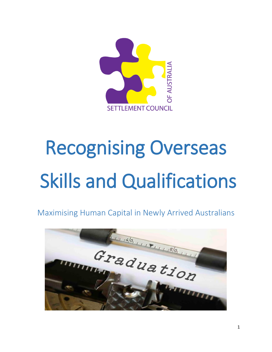

# Recognising Overseas Skills and Qualifications

Maximising Human Capital in Newly Arrived Australians

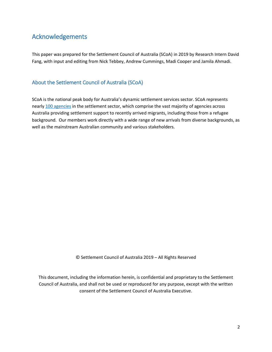## <span id="page-1-0"></span>Acknowledgements

This paper was prepared for the Settlement Council of Australia (SCoA) in 2019 by Research Intern David Fang, with input and editing from Nick Tebbey, Andrew Cummings, Madi Cooper and Jamila Ahmadi.

#### <span id="page-1-1"></span>About the Settlement Council of Australia (SCoA)

SCoA is the national peak body for Australia's dynamic settlement services sector. SCoA represents nearly 100 agencies in the settlement sector, which comprise the vast majority of agencies across Australia providing settlement support to recently arrived migrants, including those from a refugee background. Our members work directly with a wide range of new arrivals from diverse backgrounds, as well as the mainstream Australian community and various stakeholders.

© Settlement Council of Australia 2019 – All Rights Reserved

This document, including the information herein, is confidential and proprietary to the Settlement Council of Australia, and shall not be used or reproduced for any purpose, except with the written consent of the Settlement Council of Australia Executive.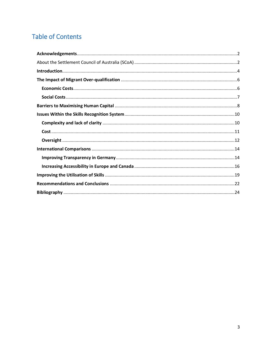## **Table of Contents**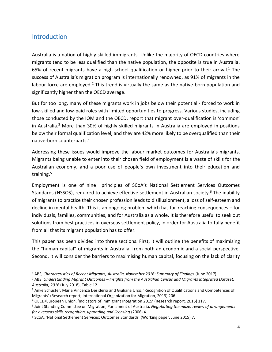#### <span id="page-3-0"></span>Introduction

 $\overline{\phantom{0}}$ 

Australia is a nation of highly skilled immigrants. Unlike the majority of OECD countries where migrants tend to be less qualified than the native population, the opposite is true in Australia. 65% of recent migrants have a high school qualification or higher prior to their arrival.<sup>1</sup> The success of Australia's migration program is internationally renowned, as 91% of migrants in the labour force are employed.<sup>2</sup> This trend is virtually the same as the native-born population and significantly higher than the OECD average.

But for too long, many of these migrants work in jobs below their potential - forced to work in low-skilled and low-paid roles with limited opportunities to progress. Various studies, including those conducted by the IOM and the OECD, report that migrant over-qualification is 'common' in Australia.<sup>3</sup> More than 30% of highly skilled migrants in Australia are employed in positions below their formal qualification level, and they are 42% more likely to be overqualified than their native-born counterparts.<sup>4</sup>

Addressing these issues would improve the labour market outcomes for Australia's migrants. Migrants being unable to enter into their chosen field of employment is a waste of skills for the Australian economy, and a poor use of people's own investment into their education and training.<sup>5</sup>

Employment is one of nine principles of SCoA's National Settlement Services Outcomes Standards (NSSOS), required to achieve effective settlement in Australian society.<sup>6</sup> The inability of migrants to practice their chosen profession leads to disillusionment, a loss of self-esteem and decline in mental health. This is an ongoing problem which has far-reaching consequences – for individuals, families, communities, and for Australia as a whole. It is therefore useful to seek out solutions from best practices in overseas settlement policy, in order for Australia to fully benefit from all that its migrant population has to offer.

This paper has been divided into three sections. First, it will outline the benefits of maximising the "human capital" of migrants in Australia, from both an economic and a social perspective. Second, it will consider the barriers to maximising human capital, focusing on the lack of clarity

<sup>1</sup> ABS, *Characteristics of Recent Migrants, Australia, November 2016: Summary of Findings* (June 2017).

<sup>2</sup> ABS, *Understanding Migrant Outcomes – Insights from the Australian Census and Migrants Integrated Dataset, Australia, 2016* (July 2018), Table 12.

<sup>3</sup> Anke Schuster, Maria Vincenza Desiderio and Giuliana Urso, 'Recognition of Qualifications and Competences of Migrants' (Research report, International Organization for Migration, 2013) 206.

<sup>4</sup> OECD/European Union, 'Indicators of Immigrant Integration 2015' (Research report, 2015) 117.

<sup>5</sup> Joint Standing Committee on Migration, Parliament of Australia, *Negotiating the maze: review of arrangements for overseas skills recognition, upgrading and licensing* (2006) 4.

<sup>6</sup> SCoA, 'National Settlement Services: Outcomes Standards' (Working paper, June 2015) 7.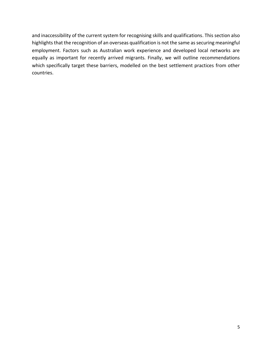and inaccessibility of the current system for recognising skills and qualifications. This section also highlights that the recognition of an overseas qualification is not the same as securing meaningful employment. Factors such as Australian work experience and developed local networks are equally as important for recently arrived migrants. Finally, we will outline recommendations which specifically target these barriers, modelled on the best settlement practices from other countries.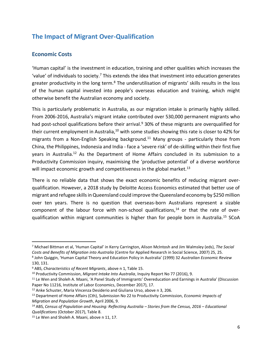## <span id="page-5-0"></span>**The Impact of Migrant Over-Qualification**

#### <span id="page-5-1"></span>**Economic Costs**

 $\overline{a}$ 

'Human capital' is the investment in education, training and other qualities which increases the 'value' of individuals to society.<sup>7</sup> This extends the idea that investment into education generates greater productivity in the long term.<sup>8</sup> The underutilisation of migrants' skills results in the loss of the human capital invested into people's overseas education and training, which might otherwise benefit the Australian economy and society.

This is particularly problematic in Australia, as our migration intake is primarily highly skilled. From 2006-2016, Australia's migrant intake contributed over 530,000 permanent migrants who had post-school qualifications before their arrival.<sup>9</sup> 30% of these migrants are overqualified for their current employment in Australia,<sup>10</sup> with some studies showing this rate is closer to 42% for migrants from a Non-English Speaking background.<sup>11</sup> Many groups - particularly those from China, the Philippines, Indonesia and India - face a 'severe risk' of de-skilling within their first five years in Australia.<sup>12</sup> As the Department of Home Affairs concluded in its submission to a Productivity Commission inquiry, maximising the 'productive potential' of a diverse workforce will impact economic growth and competitiveness in the global market.<sup>13</sup>

There is no reliable data that shows the exact economic benefits of reducing migrant overqualification. However, a 2018 study by Deloitte Access Economics estimated that better use of migrant and refugee skills in Queensland could improve the Queensland economy by \$250 million over ten years. There is no question that overseas-born Australians represent a sizable component of the labour force with non-school qualifications, $14$  or that the rate of overqualification within migrant communities is higher than for people born in Australia. <sup>15</sup> SCoA

<sup>7</sup> Michael Bittman et al, 'Human Capital' in Kerry Carrington, Alison McIntosh and Jim Walmsley (eds), *The Social Costs and Benefits of Migration into Australia* (Centre for Applied Research in Social Science, 2007) 25, 25.

<sup>8</sup> John Quiggin, 'Human Capital Theory and Education Policy in Australia' (1999) 32 *Australian Economic Review* 130, 131.

<sup>9</sup> ABS, *Characteristics of Recent Migrants*, above n 1, Table 15.

<sup>10</sup> Productivity Commission, *Migrant Intake Into Australia*, Inquiry Report No 77 (2016), 9.

<sup>&</sup>lt;sup>11</sup> Le Wen and Sholeh A. Maani, 'A Panel Study of Immigrants' Overeducation and Earnings in Australia' (Discussion Paper No 11216, Institute of Labor Economics, December 2017), 17.

<sup>12</sup> Anke Schuster, Maria Vincenza Desiderio and Giuliana Urso, above n 3, 206.

<sup>13</sup> Department of Home Affairs (Cth), Submission No 22 to Productivity Commission, *Economic Impacts of Migration and Population Growth*, April 2006, 9.

<sup>14</sup> ABS, *Census of Population and Housing: Reflecting Australia – Stories from the Census, 2016 – Educational Qualifications* (October 2017), Table 8.

<sup>&</sup>lt;sup>15</sup> Le Wen and Sholeh A. Maani, above n 11, 17.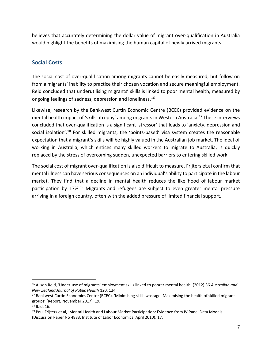believes that accurately determining the dollar value of migrant over-qualification in Australia would highlight the benefits of maximising the human capital of newly arrived migrants.

#### <span id="page-6-0"></span>**Social Costs**

The social cost of over-qualification among migrants cannot be easily measured, but follow on from a migrants' inability to practice their chosen vocation and secure meaningful employment. Reid concluded that underutilising migrants' skills is linked to poor mental health, measured by ongoing feelings of sadness, depression and loneliness.<sup>16</sup>

Likewise, research by the Bankwest Curtin Economic Centre (BCEC) provided evidence on the mental health impact of 'skills atrophy' among migrants in Western Australia.<sup>17</sup> These interviews concluded that over-qualification is a significant 'stressor' that leads to 'anxiety, depression and social isolation'.<sup>18</sup> For skilled migrants, the 'points-based' visa system creates the reasonable expectation that a migrant's skills will be highly valued in the Australian job market. The ideal of working in Australia, which entices many skilled workers to migrate to Australia, is quickly replaced by the stress of overcoming sudden, unexpected barriers to entering skilled work.

The social cost of migrant over-qualification is also difficult to measure. Frijters et.al confirm that mental illness can have serious consequences on an individual's ability to participate in the labour market. They find that a decline in mental health reduces the likelihood of labour market participation by 17%.<sup>19</sup> Migrants and refugees are subject to even greater mental pressure arriving in a foreign country, often with the added pressure of limited financial support.

<sup>16</sup> Alison Reid, 'Under-use of migrants' employment skills linked to poorer mental health' (2012) 36 *Australian and New Zealand Journal of Public Health* 120, 124.

<sup>&</sup>lt;sup>17</sup> Bankwest Curtin Economics Centre (BCEC), 'Minimising skills wastage: Maximising the health of skilled migrant groups' (Report, November 2017), 19.

 $18$  Ibid, 16.

<sup>&</sup>lt;sup>19</sup> Paul Frijters et al, 'Mental Health and Labour Market Participation: Evidence from IV Panel Data Models (Discussion Paper No 4883, Institute of Labor Economics, April 2010), 17.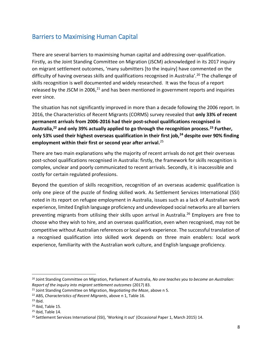## <span id="page-7-0"></span>Barriers to Maximising Human Capital

There are several barriers to maximising human capital and addressing over-qualification. Firstly, as the Joint Standing Committee on Migration (JSCM) acknowledged in its 2017 inquiry on migrant settlement outcomes, 'many submitters [to the inquiry] have commented on the difficulty of having overseas skills and qualifications recognised in Australia'.<sup>20</sup> The challenge of skills recognition is well documented and widely researched. It was the focus of a report released by the JSCM in 2006, $^{21}$  and has been mentioned in government reports and inquiries ever since.

The situation has not significantly improved in more than a decade following the 2006 report. In 2016, the Characteristics of Recent Migrants (CORMS) survey revealed that **only 33% of recent permanent arrivals from 2006-2016 had their post-school qualifications recognised in Australia,<sup>22</sup> and only 39% actually applied to go through the recognition process.<sup>23</sup> Further, only 53% used their highest overseas qualification in their first job,<sup>24</sup> despite over 90% finding employment within their first or second year after arrival.**<sup>25</sup>

There are two main explanations why the majority of recent arrivals do not get their overseas post-school qualifications recognised in Australia: firstly, the framework for skills recognition is complex, unclear and poorly communicated to recent arrivals. Secondly, it is inaccessible and costly for certain regulated professions.

Beyond the question of skills recognition, recognition of an overseas academic qualification is only one piece of the puzzle of finding skilled work. As Settlement Services International (SSI) noted in its report on refugee employment in Australia, issues such as a lack of Australian work experience, limited English language proficiency and undeveloped social networks are all barriers preventing migrants from utilising their skills upon arrival in Australia.<sup>26</sup> Employers are free to choose who they wish to hire, and an overseas qualification, even when recognised, may not be competitive without Australian references or local work experience. The successful translation of a recognised qualification into skilled work depends on three main enablers: local work experience, familiarity with the Australian work culture, and English language proficiency.

 $\overline{\phantom{0}}$ 

<sup>20</sup> Joint Standing Committee on Migration, Parliament of Australia, *No one teaches you to become an Australian: Report of the inquiry into migrant settlement outcomes* (2017) 83.

<sup>21</sup> Joint Standing Committee on Migration, *Negotiating the Maze*, above n 5.

<sup>22</sup> ABS, *Characteristics of Recent Migrants*, above n 1, Table 16.

 $23$  Ibid.

<sup>24</sup> Ibid, Table 15.

<sup>25</sup> Ibid, Table 14.

<sup>&</sup>lt;sup>26</sup> Settlement Services International (SSI), 'Working it out' (Occasional Paper 1, March 2015) 14.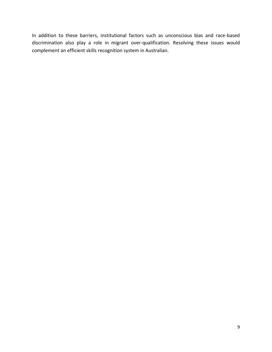In addition to these barriers, institutional factors such as unconscious bias and race-based discrimination also play a role in migrant over-qualification. Resolving these issues would complement an efficient skills recognition system in Australian.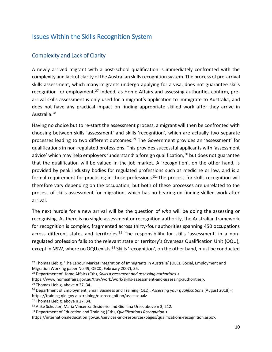## <span id="page-9-0"></span>Issues Within the Skills Recognition System

#### <span id="page-9-1"></span>Complexity and Lack of Clarity

A newly arrived migrant with a post-school qualification is immediately confronted with the complexity and lack of clarity of the Australian skills recognition system. The process of pre-arrival skills assessment, which many migrants undergo applying for a visa, does not guarantee skills recognition for employment.<sup>27</sup> Indeed, as Home Affairs and assessing authorities confirm, prearrival skills assessment is only used for a migrant's application to immigrate to Australia, and does not have any practical impact on finding appropriate skilled work after they arrive in Australia. <sup>28</sup>

Having no choice but to re-start the assessment process, a migrant will then be confronted with choosing between skills 'assessment' and skills 'recognition', which are actually two separate processes leading to two different outcomes.<sup>29</sup> The Government provides an 'assessment' for qualifications in non-regulated professions. This provides successful applicants with 'assessment advice' which may help employers 'understand' a foreign qualification,<sup>30</sup> but does not guarantee that the qualification will be valued in the job market. A 'recognition', on the other hand, is provided by peak industry bodies for regulated professions such as medicine or law, and is a formal requirement for practising in those professions.<sup>31</sup> The process for skills recognition will therefore vary depending on the occupation, but both of these processes are unrelated to the process of skills assessment for migration, which has no bearing on finding skilled work after arrival.

The next hurdle for a new arrival will be the question of *who* will be doing the assessing or recognising. As there is no single assessment or recognition authority, the Australian framework for recognition is complex, fragmented across thirty-four authorities spanning 450 occupations across different states and territories.<sup>32</sup> The responsibility for skills 'assessment' in a nonregulated profession falls to the relevant state or territory's Overseas Qualification Unit (OQU), except in NSW, where no OQU exists.<sup>33</sup> Skills 'recognition', on the other hand, must be conducted

<sup>&</sup>lt;sup>27</sup> Thomas Liebig, 'The Labour Market Integration of Immigrants in Australia' (OECD Social, Employment and Migration Working paper No 49, OECD, February 2007), 35.

<sup>28</sup> Department of Home Affairs (Cth), *Skills assessment and assessing authorities* <

https://www.homeaffairs.gov.au/trav/work/work/skills-assessment-and-assessing-authorities>.

<sup>29</sup> Thomas Liebig, above n 27, 34.

<sup>30</sup> Department of Employment, Small Business and Training (QLD), *Assessing your qualifications* (August 2018) < https://training.qld.gov.au/training/osqrecognition/assessqual>.

<sup>&</sup>lt;sup>31</sup> Thomas Liebig, above n 27, 34.

<sup>&</sup>lt;sup>32</sup> Anke Schuster, Maria Vincenza Desiderio and Giuliana Urso, above n 3, 212.

<sup>33</sup> Department of Education and Training (Cth), *Qualifications Recognition* <

https://internationaleducation.gov.au/services-and-resources/pages/qualifications-recognition.aspx>.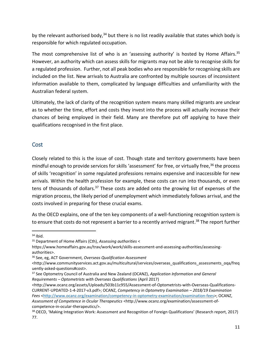by the relevant authorised body,  $34$  but there is no list readily available that states which body is responsible for which regulated occupation.

The most comprehensive list of who is an 'assessing authority' is hosted by Home Affairs.<sup>35</sup> However, an authority which can assess skills for migrants may not be able to recognise skills for a regulated profession. Further, not all peak bodies who are responsible for recognising skills are included on the list. New arrivals to Australia are confronted by multiple sources of inconsistent information available to them, complicated by language difficulties and unfamiliarity with the Australian federal system.

Ultimately, the lack of clarity of the recognition system means many skilled migrants are unclear as to whether the time, effort and costs they invest into the process will actually increase their chances of being employed in their field. Many are therefore put off applying to have their qualifications recognised in the first place.

#### <span id="page-10-0"></span>**Cost**

Closely related to this is the issue of cost. Though state and territory governments have been mindful enough to provide services for skills 'assessment' for free, or virtually free,<sup>36</sup> the process of skills 'recognition' in some regulated professions remains expensive and inaccessible for new arrivals. Within the health profession for example, these costs can run into thousands, or even tens of thousands of dollars.<sup>37</sup> These costs are added onto the growing list of expenses of the migration process, the likely period of unemployment which immediately follows arrival, and the costs involved in preparing for these crucial exams.

As the OECD explains, one of the ten key components of a well-functioning recognition system is to ensure that costs do not represent a barrier to a recently arrived migrant.<sup>38</sup> The report further

 $\overline{a}$ 

<sup>36</sup> See, eg, ACT Government, *Overseas Qualification Assessment* 

<http://www.ocanz.org/assets/Uploads/503b11c955/Assessment-of-Optometrists-with-Overseas-Qualifications-CURRENT-UPDATED-1-4-2017-v3.pdf>; OCANZ, *Competency in Optometry Examination – 2018/19 Examination Fees* <http://www.ocanz.org/examination/competency-in-optometry-examination/examination-fees>; OCANZ, *Assessment of Competence in Ocular Therapeutics* <http://www.ocanz.org/examination/assessment-ofcompetence-in-ocular-therapeutics/>.

 $34$  Ibid.

<sup>35</sup> Department of Home Affairs (Cth), *Assessing authorities* <

https://www.homeaffairs.gov.au/trav/work/work/skills-assessment-and-assessing-authorities/assessingauthorities>.

<sup>&</sup>lt;http://www.communityservices.act.gov.au/multicultural/services/overseas\_qualifications\_assessments\_oqa/freq uently-asked-questions#cost>.

<sup>37</sup> See Optometry Council of Australia and New Zealand (OCANZ), *Application Information and General Requirements – Optometrists with Overseas Qualifications* (April 2017)

<sup>38</sup> OECD, 'Making Integration Work: Assessment and Recognition of Foreign Qualifications' (Research report, 2017) 77.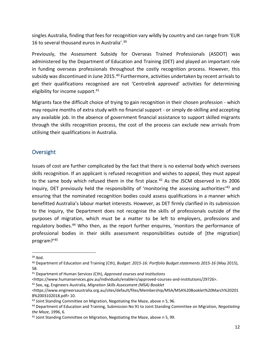singles Australia, finding that fees for recognition vary wildly by country and can range from 'EUR 16 to several thousand euros in Australia'.<sup>39</sup>

Previously, the Assessment Subsidy for Overseas Trained Professionals (ASDOT) was administered by the Department of Education and Training (DET) and played an important role in funding overseas professionals throughout the costly recognition process. However, this subsidy was discontinued in June 2015.<sup>40</sup> Furthermore, activities undertaken by recent arrivals to get their qualifications recognised are not 'Centrelink approved' activities for determining eligibility for income support.<sup>41</sup>

Migrants face the difficult choice of trying to gain recognition in their chosen profession - which may require months of extra study with no financial support - or simply de-skilling and accepting any available job. In the absence of government financial assistance to support skilled migrants through the skills recognition process, the cost of the process can exclude new arrivals from utilising their qualifications in Australia.

#### <span id="page-11-0"></span>**Oversight**

Issues of cost are further complicated by the fact that there is no external body which oversees skills recognition. If an applicant is refused recognition and wishes to appeal, they must appeal to the same body which refused them in the first place.<sup>42</sup> As the JSCM observed in its 2006 inquiry, DET previously held the responsibility of 'monitoring the assessing authorities<sup>'43</sup> and ensuring that the nominated recognition bodies could assess qualifications in a manner which benefitted Australia's labour market interests. However, as DET firmly clarified in its submission to the inquiry, the Department does not recognise the skills of professionals outside of the purposes of migration, which must be a matter to be left to employers, professions and regulatory bodies.<sup>44</sup> Who then, as the report further enquires, 'monitors the performance of professional bodies in their skills assessment responsibilities outside of [the migration] program?'<sup>45</sup>

 $39$  Ibid.

<sup>40</sup> Department of Education and Training (Cth), *Budget: 2015-16: Portfolio Budget statements 2015-16* (May 2015), 58.

<sup>41</sup> Department of Human Services (Cth), *Approved courses and institutions*

<sup>&</sup>lt;https://www.humanservices.gov.au/individuals/enablers/approved-courses-and-institutions/29726>.

<sup>42</sup> See, eg, Engineers Australia, *Migration Skills Assessment (MSA) Booklet* 

<sup>&</sup>lt;https://www.engineersaustralia.org.au/sites/default/files/Membership/MSA/MSA%20Booklet%20March%20201 8%2003102018.pdf> 10.

<sup>43</sup> Joint Standing Committee on Migration, Negotiating the Maze, above n 5, 96.

<sup>44</sup> Department of Education and Training, Submission No 91 to Joint Standing Committee on Migration, *Negotiating the Maze*, 1996, 6.

<sup>45</sup> Joint Standing Committee on Migration, Negotiating the Maze, above n 5, 99.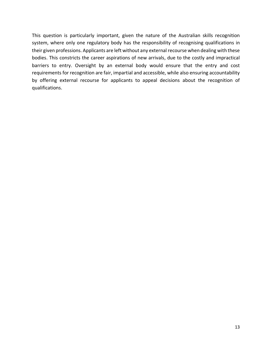This question is particularly important, given the nature of the Australian skills recognition system, where only one regulatory body has the responsibility of recognising qualifications in their given professions. Applicants are left without any external recourse when dealing with these bodies. This constricts the career aspirations of new arrivals, due to the costly and impractical barriers to entry. Oversight by an external body would ensure that the entry and cost requirements for recognition are fair, impartial and accessible, while also ensuring accountability by offering external recourse for applicants to appeal decisions about the recognition of qualifications.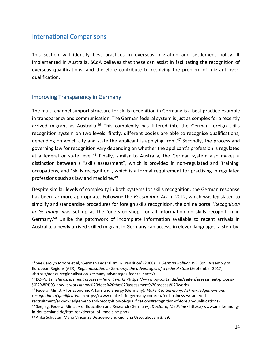#### <span id="page-13-0"></span>International Comparisons

This section will identify best practices in overseas migration and settlement policy. If implemented in Australia, SCoA believes that these can assist in facilitating the recognition of overseas qualifications, and therefore contribute to resolving the problem of migrant overqualification.

#### <span id="page-13-1"></span>Improving Transparency in Germany

 $\overline{a}$ 

The multi-channel support structure for skills recognition in Germany is a best practice example in transparency and communication. The German federal system is just as complex for a recently arrived migrant as Australia.<sup>46</sup> This complexity has filtered into the German foreign skills recognition system on two levels: firstly, different bodies are able to recognise qualifications, depending on which city and state the applicant is applying from.<sup>47</sup> Secondly, the process and governing law for recognition vary depending on whether the applicant's profession is regulated at a federal or state level.<sup>48</sup> Finally, similar to Australia, the German system also makes a distinction between a "skills assessment", which is provided in non-regulated and 'training' occupations, and "skills recognition", which is a formal requirement for practising in regulated professions such as law and medicine.<sup>49</sup>

Despite similar levels of complexity in both systems for skills recognition, the German response has been far more appropriate. Following the *Recognition Act* in 2012, which was legislated to simplify and standardise procedures for foreign skills recognition, the online portal '*Recognition in Germany'* was set up as the 'one-stop-shop' for all information on skills recognition in Germany.<sup>50</sup> Unlike the patchwork of incomplete information available to recent arrivals in Australia, a newly arrived skilled migrant in Germany can access, in eleven languages, a step-by-

<sup>46</sup> See Carolyn Moore et al, 'German Federalism in Transition' (2008) 17 *German Politics* 393, 395; Assembly of European Regions (AER), *Regionalisation in Germany: the advantages of a federal state* (September 2017) <https://aer.eu/regionalisation-germany-advantages-federal-state/>.

<sup>47</sup> BQ-Portal, *The assessment process – how it works* <https://www.bq-portal.de/en/seiten/assessment-process- %E2%80%93-how-it-works#how%20does%20the%20assessment%20process%20work>.

<sup>48</sup> Federal Ministry for Economic Affairs and Energy (Germany), *Make it in Germany: Acknowledgement and*  recognition of qualifications <https://www.make-it-in-germany.com/en/for-businesses/targeted-

rectruitment/acknowledgement-and-recognition-of-qualifications#recognition-of-foreign-qualifications>. <sup>49</sup> See, eg, Federal Ministry of Education and Research (Germany), *Doctor of Medicine* <https://www.anerkennungin-deutschland.de/html/en/doctor\_of\_medicine.php>.

<sup>50</sup> Anke Schuster, Maria Vincenza Desiderio and Giuliana Urso, above n 3, 29.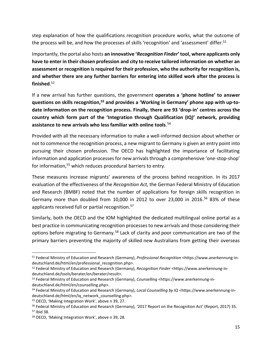step explanation of how the qualifications recognition procedure works, what the outcome of the process will be, and how the processes of skills 'recognition' and 'assessment' differ.<sup>51</sup>

Importantly, the portal also hosts **an innovative '***Recognition Finder***' tool, where applicants only have to enter in their chosen profession and city to receive tailored information on whether an assessment or recognition is required for their profession, who the authority for recognition is, and whether there are any further barriers for entering into skilled work after the process is finished**. 52

If a new arrival has further questions, the government **operates a 'phone hotline' to answer questions on skills recognition,<sup>53</sup> and provides a 'Working in Germany' phone app with up-todate information on the recognition process. Finally, there are 93 'drop-in' centres across the country which form part of the 'Integration through Qualification (IQ)' network, providing assistance to new arrivals who less familiar with online tools**. 54

Provided with all the necessary information to make a well-informed decision about whether or not to commence the recognition process, a new migrant to Germany is given an entry point into pursuing their chosen profession. The OECD has highlighted the importance of facilitating information and application processes for new arrivals through a comprehensive 'one-stop-shop' for information,<sup>55</sup> which reduces procedural barriers to entry.

These measures increase migrants' awareness of the process behind recognition. In its 2017 evaluation of the effectiveness of the *Recognition Act,* the German Federal Ministry of Education and Research (BMBF) noted that the number of applications for foreign skills recognition in Germany more than doubled from 10,000 in 2012 to over 23,000 in 2016. <sup>56</sup> 83% of these applicants received full or partial recognition.<sup>57</sup>

Similarly, both the OECD and the IOM highlighted the dedicated multilingual online portal as a best practice in communicating recognition processes to new arrivals and those considering their options before migrating to Germany.<sup>58</sup> Lack of clarity and poor communication are two of the primary barriers preventing the majority of skilled new Australians from getting their overseas

<sup>51</sup> Federal Ministry of Education and Research (Germany), *Professional Recognition* <https://www.anerkennung-indeutschland.de/html/en/professional\_recognition.php>.

<sup>52</sup> Federal Ministry of Education and Research (Germany), *Recognition Finder* <https://www.anerkennung-indeutschland.de/tools/berater/en/berater/result>.

<sup>53</sup> Federal Ministry of Education and Research (Germany), *Counselling* <https://www.anerkennung-indeutschland.de/html/en/counselling.php>.

<sup>54</sup> Federal Ministry of Education and Research (Germany), *Local Counselling by IQ* <https://www.anerkennung-indeutschland.de/html/en/iq\_network\_counselling.php>.

<sup>55</sup> OECD, 'Making Integration Work', above n 39, 27.

<sup>&</sup>lt;sup>56</sup> Federal Ministry of Education and Research (Germany), '2017 Report on the Recognition Act' (Report, 2017) 35. <sup>57</sup> Ibid 38.

<sup>58</sup> OECD, 'Making Integration Work', above n 39, 28.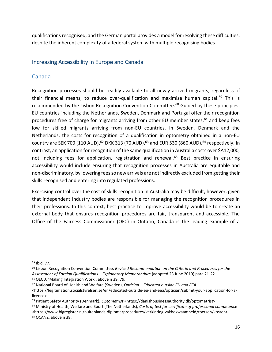qualifications recognised, and the German portal provides a model for resolving these difficulties, despite the inherent complexity of a federal system with multiple recognising bodies.

#### <span id="page-15-0"></span>Increasing Accessibility in Europe and Canada

#### Canada

Recognition processes should be readily available to all newly arrived migrants, regardless of their financial means, to reduce over-qualification and maximise human capital.<sup>59</sup> This is recommended by the Lisbon Recognition Convention Committee.<sup>60</sup> Guided by these principles, EU countries including the Netherlands, Sweden, Denmark and Portugal offer their recognition procedures free of charge for migrants arriving from other EU member states, $61$  and keep fees low for skilled migrants arriving from non-EU countries. In Sweden, Denmark and the Netherlands, the costs for recognition of a qualification in optometry obtained in a non-EU country are SEK 700 (110 AUD),  $62$  DKK 313 (70 AUD),  $63$  and EUR 530 (860 AUD),  $64$  respectively. In contrast, an application for recognition of the same qualification in Australia costs over \$A12,000, not including fees for application, registration and renewal.<sup>65</sup> Best practice in ensuring accessibility would include ensuring that recognition processes in Australia are equitable and non-discriminatory, by lowering fees so new arrivals are not indirectly excluded from getting their skills recognised and entering into regulated professions.

Exercising control over the cost of skills recognition in Australia may be difficult, however, given that independent industry bodies are responsible for managing the recognition procedures in their professions. In this context, best practice to improve accessibility would be to create an external body that ensures recognition procedures are fair, transparent and accessible. The Office of the Fairness Commissioner (OFC) in Ontario, Canada is the leading example of a

<sup>59</sup> Ibid, 77.

<sup>60</sup> Lisbon Recognition Convention Committee, *Revised Recommendation on the Criteria and Procedures for the Assessment of Foreign Qualifications* **–** *Explanatory Memorandum* (adopted 23 June 2010) para 21-22. <sup>61</sup> OECD, 'Making Integration Work', above n 39, 79.

<sup>62</sup> National Board of Health and Welfare (Sweden), *Optician – Educated outside EU and EEA*

<sup>&</sup>lt;https://legitimation.socialstyrelsen.se/en/educated-outside-eu-and-eea/optician/submit-your-application-for-alicence>.

<sup>63</sup> Patient Safety Authority (Denmark), *Optometrist* <https://danishbusinessauthority.dk/optometrist>.

<sup>64</sup> Ministry of Health, Welfare and Sport (The Netherlands), *Costs of test for certificate of professional competence* <https://www.bigregister.nl/buitenlands-diploma/procedures/verklaring-vakbekwaamheid/toetsen/kosten>. <sup>65</sup> OCANZ, above n 38.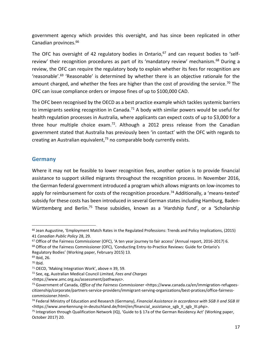government agency which provides this oversight, and has since been replicated in other Canadian provinces.<sup>66</sup>

The OFC has oversight of 42 regulatory bodies in Ontario,  $67$  and can request bodies to 'selfreview' their recognition procedures as part of its 'mandatory review' mechanism.<sup>68</sup> During a review, the OFC can require the regulatory body to explain whether its fees for recognition are 'reasonable'.<sup>69</sup> 'Reasonable' is determined by whether there is an objective rationale for the amount charged, and whether the fees are higher than the cost of providing the service.<sup>70</sup> The OFC can issue compliance orders or impose fines of up to \$100,000 CAD.

The OFC been recognised by the OECD as a best practice example which tackles systemic barriers to immigrants seeking recognition in Canada.<sup>71</sup> A body with similar powers would be useful for health regulation processes in Australia, where applicants can expect costs of up to \$3,000 for a three hour multiple choice exam.<sup>72</sup>. Although a 2012 press release from the Canadian government stated that Australia has previously been 'in contact' with the OFC with regards to creating an Australian equivalent, $73$  no comparable body currently exists.

#### **Germany**

Where it may not be feasible to lower recognition fees, another option is to provide financial assistance to support skilled migrants throughout the recognition process. In November 2016, the German federal government introduced a program which allows migrants on low-incomes to apply for reimbursement for costs of the recognition procedure.<sup>74</sup> Additionally, a 'means-tested' subsidy for these costs has been introduced in several German states including Hamburg, Baden-Württemberg and Berlin.<sup>75</sup> These subsidies, known as a 'Hardship fund', or a 'Scholarship

l

<sup>66</sup> Jean Augustine, 'Employment Match Rates in the Regulated Professions: Trends and Policy Implications, (2015) 41 *Canadian Public Policy* 28, 29.

<sup>&</sup>lt;sup>67</sup> Office of the Fairness Commissioner (OFC), 'A ten year journey to fair access' (Annual report, 2016-2017) 6. <sup>68</sup> Office of the Fairness Commissioner (OFC), 'Conducting Entry-to-Practice Reviews: Guide for Ontario's Regulatory Bodies' (Working paper, February 2015) 13.

<sup>69</sup> Ibid, 26.

 $70$  Ibid.

<sup>71</sup> OECD, 'Making Integration Work', above n 39, 59.

<sup>72</sup> See, eg, Australian Medical Council Limited, *Fees and Charges*

<sup>&</sup>lt;https://www.amc.org.au/assessment/pathways>.

<sup>73</sup> Government of Canada, *Office of the Fairness Commissioner* <https://www.canada.ca/en/immigration-refugeescitizenship/corporate/partners-service-providers/immigrant-serving-organizations/best-pratices/office-fairnesscommissioner.html>.

<sup>74</sup> Federal Ministry of Education and Research (Germany), *Financial Assistance in accordance with SGB II and SGB III* <https://www.anerkennung-in-deutschland.de/html/en/financial\_assistance\_sgb\_II\_sgb\_III.php>.

<sup>&</sup>lt;sup>75</sup> Integration through Qualification Network (IQ), 'Guide to § 17a of the German Residency Act' (Working paper, October 2017) 20.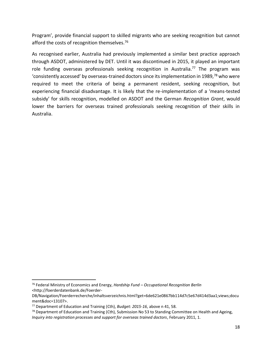Program', provide financial support to skilled migrants who are seeking recognition but cannot afford the costs of recognition themselves.<sup>76</sup>

As recognised earlier, Australia had previously implemented a similar best practice approach through ASDOT, administered by DET. Until it was discontinued in 2015, it played an important role funding overseas professionals seeking recognition in Australia.<sup>77</sup> The program was 'consistently accessed' by overseas-trained doctors since its implementation in 1989,<sup>78</sup> who were required to meet the criteria of being a permanent resident, seeking recognition, but experiencing financial disadvantage. It is likely that the re-implementation of a 'means-tested subsidy' for skills recognition, modelled on ASDOT and the German *Recognition Grant*, would lower the barriers for overseas trained professionals seeking recognition of their skills in Australia.

<sup>76</sup> Federal Ministry of Economics and Energy, *Hardship Fund – Occupational Recognition Berlin* <http://foerderdatenbank.de/Foerder-

DB/Navigation/Foerderrecherche/inhaltsverzeichnis.html?get=6de621e0867bb114d7c5e67d414d3aa1;views;docu ment&doc=13107>.

<sup>77</sup> Department of Education and Training (Cth), *Budget: 2015-16*, above n 41, 58.

 $78$  Department of Education and Training (Cth), Submission No 53 to Standing Committee on Health and Ageing, *Inquiry into registration processes and support for overseas trained doctors*, February 2011, 1.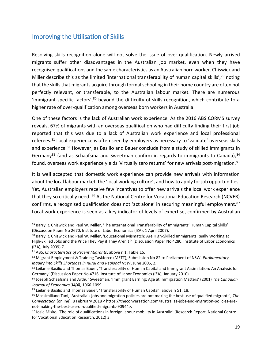## <span id="page-18-0"></span>Improving the Utilisation of Skills

Resolving skills recognition alone will not solve the issue of over-qualification. Newly arrived migrants suffer other disadvantages in the Australian job market, even when they have recognised qualifications and the same characteristics as an Australian born worker. Chiswick and Miller describe this as the limited 'international transferability of human capital skills',<sup>79</sup> noting that the skills that migrants acquire through formal schooling in their home country are often not perfectly relevant, or transferable, to the Australian labour market. There are numerous  $'$ immigrant-specific factors', $80$  beyond the difficulty of skills recognition, which contribute to a higher rate of over-qualification among overseas born workers in Australia.

One of these factors is the lack of Australian work experience. As the 2016 ABS CORMS survey reveals, 67% of migrants with an overseas qualification who had difficulty finding their first job reported that this was due to a lack of Australian work experience and local professional referees.<sup>81</sup> Local experience is often seen by employers as necessary to 'validate' overseas skills and experience.<sup>82</sup> However, as Basilio and Bauer conclude from a study of skilled immigrants in Germany<sup>83</sup> (and as Schaafsma and Sweetman confirm in regards to immigrants to Canada),  $84$ found, overseas work experience yields 'virtually zero returns' for new arrivals post-migration.<sup>85</sup>

It is well accepted that domestic work experience can provide new arrivals with information about the local labour market, the 'local working culture', and how to apply for job opportunities. Yet, Australian employers receive few incentives to offer new arrivals the local work experience that they so critically need. <sup>86</sup> As the National Centre for Vocational Education Research (NCVER) confirms, a recognised qualification does not 'act alone' in securing meaningful employment.<sup>87</sup> Local work experience is seen as a key indicator of levels of expertise, confirmed by Australian

<sup>79</sup> Barry R. Chiswick and Paul W. Miller, 'The International Transferability of Immigrants' Human Capital Skills' (Discussion Paper No 2670, Institute of Labor Economics (IZA), 1 April 2007).

<sup>80</sup> Barry R. Chiswick and Paul W. Miller, 'Educational Mismatch: Are High-Skilled Immigrants Really Working at High-Skilled Jobs and the Price They Pay if They Aren't?' (Discussion Paper No 4280, Institute of Labor Economics (IZA), July 2009) 7.

<sup>81</sup> ABS, *Characteristics of Recent Migrants*, above n 1, Table 15.

<sup>82</sup> Migrant Employment & Training Taskforce (METT), Submission No 82 to Parliament of NSW, *Parliamentary Inquiry into Skills Shortages in Rural and Regional NSW*, June 2005, 2.

<sup>83</sup> Leilanie Basilio and Thomas Bauer, 'Transferability of Human Capital and Immigrant Assimilation: An Analysis for Germany' (Discussion Paper No 4716, Institute of Labor Economics (IZA), January 2010).

<sup>84</sup> Joseph Schaafsma and Arthur Sweetman, 'Immigrant Earning: Age at Immigration Matters' (2001) *The Canadian Journal of Economics 34(4)*, 1066-1099.

<sup>85</sup> Leilanie Basilio and Thomas Bauer, 'Transferability of Human Capital', above n 51, 18.

<sup>86</sup> Massimiliano Tani, 'Australia's jobs and migration policies are not making the best use of qualified migrants', *The Conversation* (online), 8 February 2018 < https://theconversation.com/australias-jobs-and-migration-policies-arenot-making-the-best-use-of-qualified-migrants-90944>.

<sup>87</sup> Josie Misko, 'The role of qualifications in foreign labour mobility in Australia' (Research Report, National Centre for Vocational Education Research, 2012) 3.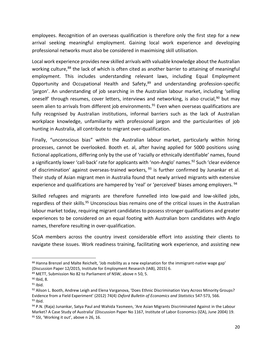employees. Recognition of an overseas qualification is therefore only the first step for a new arrival seeking meaningful employment. Gaining local work experience and developing professional networks must also be considered in maximising skill utilisation.

Local work experience provides new skilled arrivals with valuable knowledge about the Australian working culture,<sup>88</sup> the lack of which is often cited as another barrier to attaining of meaningful employment. This includes understanding relevant laws, including Equal Employment Opportunity and Occupational Health and Safety,<sup>89</sup> and understanding profession-specific 'jargon'. An understanding of job searching in the Australian labour market, including 'selling oneself' through resumes, cover letters, interviews and networking, is also crucial,<sup>90</sup> but may seem alien to arrivals from different job environments.<sup>91</sup> Even when overseas qualifications are fully recognised by Australian institutions, informal barriers such as the lack of Australian workplace knowledge, unfamiliarity with professional jargon and the particularities of job hunting in Australia, all contribute to migrant over-qualification.

Finally, "unconscious bias" within the Australian labour market, particularly within hiring processes, cannot be overlooked. Booth et. al, after having applied for 5000 positions using fictional applications, differing only by the use of 'racially or ethnically identifiable' names, found a significantly lower 'call-back' rate for applicants with 'non-Anglo' names.<sup>92</sup> Such 'clear evidence of discrimination' against overseas-trained workers,  $93$  is further confirmed by Junankar et al. Their study of Asian migrant men in Australia found that newly arrived migrants with extensive experience and qualifications are hampered by 'real' or 'perceived' biases among employers.<sup>94</sup>

Skilled refugees and migrants are therefore funnelled into low-paid and low-skilled jobs, regardless of their skills.<sup>95</sup> Unconscious bias remains one of the critical issues in the Australian labour market today, requiring migrant candidates to possess stronger qualifications and greater experiences to be considered on an equal footing with Australian born candidates with Anglo names, therefore resulting in over-qualification.

SCoA members across the country invest considerable effort into assisting their clients to navigate these issues. Work readiness training, facilitating work experience, and assisting new

<sup>88</sup> Hanna Brenzel and Malte Reichelt, 'Job mobility as a new explanation for the immigrant-native wage gap' (Discussion Paper 12/2015, Institute for Employment Research (IAB), 2015) 6.

<sup>89</sup> METT, Submission No 82 to Parliament of NSW, above n 50, 5.

<sup>90</sup> Ibid, 8.

 $91$  Ibid.

<sup>92</sup> Alison L. Booth, Andrew Leigh and Elena Varganova, 'Does Ethnic Discrimination Vary Across Minority Groups? Evidence from a Field Experiment' (2012) 74(4) *Oxford Bulletin of Economics and Statistics* 547-573, 566.  $93$  Ibid.

<sup>94</sup> P.N. (Raja) Junankar, Satya Paul and Wahida Yasmeen, 'Are Asian Migrants Discriminated Against in the Labour Market? A Case Study of Australia' (Discussion Paper No 1167, Institute of Labor Economics (IZA), June 2004) 19. 95 SSI, 'Working it out', above n 26, 16.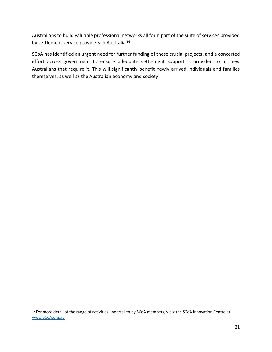Australians to build valuable professional networks all form part of the suite of services provided by settlement service providers in Australia.<sup>96</sup>

SCoA has identified an urgent need for further funding of these crucial projects, and a concerted effort across government to ensure adequate settlement support is provided to all new Australians that require it. This will significantly benefit newly arrived individuals and families themselves, as well as the Australian economy and society.

<sup>96</sup> For more detail of the range of activities undertaken by SCoA members, view the SCoA Innovation Centre at [www.SCoA.org.au.](http://www.scoa.org.au/)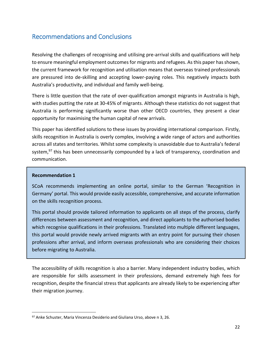## <span id="page-21-0"></span>Recommendations and Conclusions

Resolving the challenges of recognising and utilising pre-arrival skills and qualifications will help to ensure meaningful employment outcomes for migrants and refugees. As this paper has shown, the current framework for recognition and utilisation means that overseas trained professionals are pressured into de-skilling and accepting lower-paying roles. This negatively impacts both Australia's productivity, and individual and family well-being.

There is little question that the rate of over-qualification amongst migrants in Australia is high, with studies putting the rate at 30-45% of migrants. Although these statistics do not suggest that Australia is performing significantly worse than other OECD countries, they present a clear opportunity for maximising the human capital of new arrivals.

This paper has identified solutions to these issues by providing international comparison. Firstly, skills recognition in Australia is overly complex, involving a wide range of actors and authorities across all states and territories. Whilst some complexity is unavoidable due to Australia's federal system,<sup>97</sup> this has been unnecessarily compounded by a lack of transparency, coordination and communication.

#### **Recommendation 1**

l

SCoA recommends implementing an online portal, similar to the German 'Recognition in Germany' portal. This would provide easily accessible, comprehensive, and accurate information on the skills recognition process.

This portal should provide tailored information to applicants on all steps of the process, clarify differences between assessment and recognition, and direct applicants to the authorised bodies which recognise qualifications in their professions. Translated into multiple different languages, this portal would provide newly arrived migrants with an entry point for pursuing their chosen professions after arrival, and inform overseas professionals who are considering their choices before migrating to Australia.

The accessibility of skills recognition is also a barrier. Many independent industry bodies, which are responsible for skills assessment in their professions, demand extremely high fees for recognition, despite the financial stress that applicants are already likely to be experiencing after their migration journey.

<sup>97</sup> Anke Schuster, Maria Vincenza Desiderio and Giuliana Urso, above n 3, 26.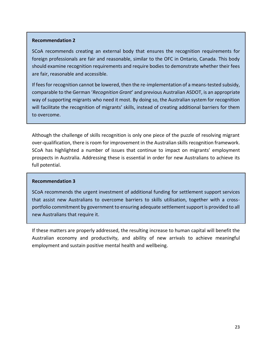#### **Recommendation 2**

SCoA recommends creating an external body that ensures the recognition requirements for foreign professionals are fair and reasonable, similar to the OFC in Ontario, Canada. This body should examine recognition requirements and require bodies to demonstrate whether their fees are fair, reasonable and accessible.

If fees for recognition cannot be lowered, then the re-implementation of a means-tested subsidy, comparable to the German '*Recognition Grant*' and previous Australian ASDOT, is an appropriate way of supporting migrants who need it most. By doing so, the Australian system for recognition will facilitate the recognition of migrants' skills, instead of creating additional barriers for them to overcome.

Although the challenge of skills recognition is only one piece of the puzzle of resolving migrant over-qualification, there is room for improvement in the Australian skills recognition framework. SCoA has highlighted a number of issues that continue to impact on migrants' employment prospects in Australia. Addressing these is essential in order for new Australians to achieve its full potential.

#### **Recommendation 3**

SCoA recommends the urgent investment of additional funding for settlement support services that assist new Australians to overcome barriers to skills utilisation, together with a crossportfolio commitment by government to ensuring adequate settlement support is provided to all new Australians that require it.

If these matters are properly addressed, the resulting increase to human capital will benefit the Australian economy and productivity, and ability of new arrivals to achieve meaningful employment and sustain positive mental health and wellbeing.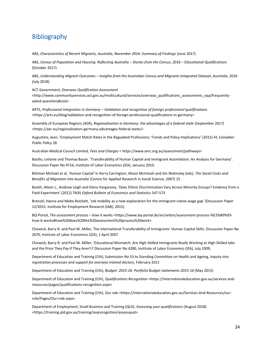## <span id="page-23-0"></span>Bibliography

ABS, *Characteristics of Recent Migrants, Australia, November 2016: Summary of Findings* (June 2017)

ABS, *Census of Population and Housing: Reflecting Australia – Stories from the Census, 2016 – Educational Qualifications*  (October 2017)

ABS, *Understanding Migrant Outcomes – Insights from the Australian Census and Migrants Integrated Dataset, Australia, 2016*  (July 2018)

ACT Government, *Overseas Qualification Assessment* 

<http://www.communityservices.act.gov.au/multicultural/services/overseas\_qualifications\_assessments\_oqa/frequentlyasked-questions#cost>

ARTS, *Professional integration in Germany – Validation and recognition of foreign professional qualifications* <https://arts.eu/blog/validation-and-recognition-of-foreign-professional-qualifications-in-germany>

Assembly of European Regions (AER), *Regionalisation in Germany: the advantages of a federal state* (September 2017) <https://aer.eu/regionalisation-germany-advantages-federal-state/>

Augustine, Jean, 'Employment Match Rates in the Regulated Professions: Trends and Policy Implications' (2015) 41 *Canadian Public Policy* 28

Australian Medical Council Limited, *Fees and Charges* < https://www.amc.org.au/assessment/pathways>

Basilio, Leilanie and Thomas Bauer. 'Transferability of Human Capital and Immigrant Assimilation: An Analysis for Germany'. Discussion Paper No 4716, Institute of Labor Economics (IZA), January 2010.

Bittman Michael et al, 'Human Capital' in Kerry Carrington, Alison McIntosh and Jim Walmsley (eds), *The Social Costs and Benefits of Migration into Australia* (Centre for Applied Research in Social Science, 2007) 25

Booth, Alison L., Andrew Leigh and Elena Varganova, 'Does Ethnic Discrimination Vary Across Minority Groups? Evidence from a Field Experiment' (2012) 74(4) *Oxford Bulletin of Economics and Statistics* 547-573

Brenzel, Hanna and Malte Reichelt, 'Job mobility as a new explanation for the immigrant-native wage gap' (Discussion Paper 12/2015, Institute for Employment Research (IAB), 2015)

BQ-Portal, *The assessment process – how it works* <https://www.bq-portal.de/en/seiten/assessment-process-%E2%80%93 how-it-works#how%20does%20the%20assessment%20process%20work>

Chiswick, Barry R. and Paul W. Miller, The International Transferability of Immigrants' Human Capital Skills. Discussion Paper No 2670, Institute of Labor Economics (IZA), 1 April 2007

Chiswick, Barry R. and Paul W. Miller, 'Educational Mismatch: Are High-Skilled Immigrants Really Working at High-Skilled Jobs and the Price They Pay if They Aren't? Discussion Paper No 4280, Institute of Labor Economics (IZA), July 2009,

Department of Education and Training (Cth), Submission No 53 to Standing Committee on Health and Ageing, *Inquiry into registration processes and support for overseas trained doctors*, February 2011

Department of Education and Training (Cth), *Budget: 2015-16: Portfolio Budget statements 2015-16* (May 2015)

Department of Education and Training (Cth), *Qualifications Recognition* <https://internationaleducation.gov.au/services-andresources/pages/qualifications-recognition.aspx>

Department of Education and Training (Cth), Our role <https://internationaleducation.gov.au/Services-And-Resources/ourrole/Pages/Our-role.aspx>

Department of Employment, Small Business and Training (QLD), *Assessing your qualifications* (August 2018) <https://training.qld.gov.au/training/osqrecognition/assessqual>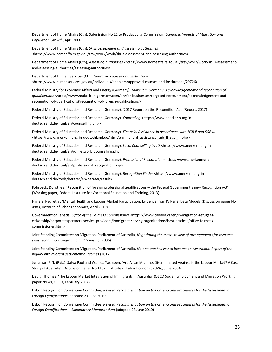Department of Home Affairs (Cth), Submission No 22 to Productivity Commission, *Economic Impacts of Migration and Population Growth*, April 2006

Department of Home Affairs (Cth), *Skills assessment and assessing authorities* <https://www.homeaffairs.gov.au/trav/work/work/skills-assessment-and-assessing-authorities>

Department of Home Affairs (Cth), *Assessing authorities* <https://www.homeaffairs.gov.au/trav/work/work/skills-assessmentand-assessing-authorities/assessing-authorities>

Department of Human Services (Cth), *Approved courses and institutions* <https://www.humanservices.gov.au/individuals/enablers/approved-courses-and-institutions/29726>

Federal Ministry for Economic Affairs and Energy (Germany), *Make it in Germany: Acknowledgement and recognition of qualifications* <https://www.make-it-in-germany.com/en/for-businesses/targeted-rectruitment/acknowledgement-andrecognition-of-qualifications#recognition-of-foreign-qualifications>

Federal Ministry of Education and Research (Germany), '2017 Report on the Recognition Act' (Report, 2017)

Federal Ministry of Education and Research (Germany), *Counseling* <https://www.anerkennung-indeutschland.de/html/en/counselling.php>

Federal Ministry of Education and Research (Germany), *Financial Assistance in accordance with SGB II and SGB III* <https://www.anerkennung-in-deutschland.de/html/en/financial\_assistance\_sgb\_II\_sgb\_III.php>

Federal Ministry of Education and Research (Germany), *Local Counselling by IQ* <https://www.anerkennung-indeutschland.de/html/en/iq\_network\_counselling.php>

Federal Ministry of Education and Research (Germany), *Professional Recognition* <https://www.anerkennung-indeutschland.de/html/en/professional\_recognition.php>

Federal Ministry of Education and Research (Germany), *Recognition Finder* <https://www.anerkennung-indeutschland.de/tools/berater/en/berater/result>

Fohrbeck, Dorothea, 'Recognition of foreign professional qualifications – the Federal Government's new Recognition Act' (Working paper, Federal Institute for Vocational Education and Training, 2013)

Frijters, Paul et al, 'Mental Health and Labour Market Participation: Evidence from IV Panel Data Models (Discussion paper No 4883, Institute of Labor Economics, April 2010)

Government of Canada, Office of the Fairness Commissioner <https://www.canada.ca/en/immigration-refugeescitizenship/corporate/partners-service-providers/immigrant-serving-organizations/best-pratices/office-fairnesscommissioner.html>

Joint Standing Committee on Migration, Parliament of Australia, *Negotiating the maze: review of arrangements for overseas skills recognition, upgrading and licensing* (2006)

Joint Standing Committee on Migration, Parliament of Australia, *No one teaches you to become an Australian: Report of the inquiry into migrant settlement outcomes* (2017)

Junankar, P.N. (Raja), Satya Paul and Wahida Yasmeen, 'Are Asian Migrants Discriminated Against in the Labour Market? A Case Study of Australia' (Discussion Paper No 1167, Institute of Labor Economics (IZA), June 2004)

Liebig, Thomas, 'The Labour Market Integration of Immigrants in Australia' (OECD Social, Employment and Migration Working paper No 49, OECD, February 2007)

Lisbon Recognition Convention Committee, *Revised Recommendation on the Criteria and Procedures for the Assessment of Foreign Qualifications* (adopted 23 June 2010)

Lisbon Recognition Convention Committee, *Revised Recommendation on the Criteria and Procedures for the Assessment of Foreign Qualifications* **–** *Explanatory Memorandum* (adopted 23 June 2010)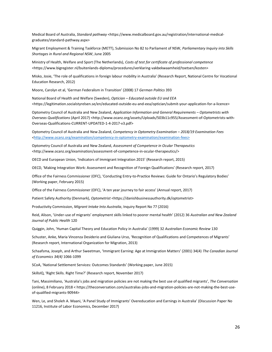Medical Board of Australia, *Standard pathway* <https://www.medicalboard.gov.au/registration/international-medicalgraduates/standard-pathway.aspx>

Migrant Employment & Training Taskforce (METT), Submission No 82 to Parliament of NSW, *Parliamentary Inquiry into Skills Shortages in Rural and Regional NSW*, June 2005

Ministry of Health, Welfare and Sport (The Netherlands), *Costs of test for certificate of professional competence* <https://www.bigregister.nl/buitenlands-diploma/procedures/verklaring-vakbekwaamheid/toetsen/kosten>

Misko, Josie, 'The role of qualifications in foreign labour mobility in Australia' (Research Report, National Centre for Vocational Education Research, 2012)

Moore, Carolyn et al, 'German Federalism in Transition' (2008) 17 *German Politics* 393

National Board of Health and Welfare (Sweden), *Optician – Educated outside EU and EEA* <https://legitimation.socialstyrelsen.se/en/educated-outside-eu-and-eea/optician/submit-your-application-for-a-licence>

Optometry Council of Australia and New Zealand, *Application Information and General Requirements – Optometrists with Overseas Qualifications* (April 2017) <http://www.ocanz.org/assets/Uploads/503b11c955/Assessment-of-Optometrists-with-Overseas-Qualifications-CURRENT-UPDATED-1-4-2017-v3.pdf>

Optometry Council of Australia and New Zealand, *Competency in Optometry Examination – 2018/19 Examination Fees <*http://www.ocanz.org/examination/competency-in-optometry-examination/examination-fees>

Optometry Council of Australia and New Zealand, *Assessment of Competence in Ocular Therapeutics* <http://www.ocanz.org/examination/assessment-of-competence-in-ocular-therapeutics/>

OECD and European Union, 'Indicators of Immigrant Integration 2015' (Research report, 2015)

OECD, 'Making Integration Work: Assessment and Recognition of Foreign Qualifications' (Research report, 2017)

Office of the Fairness Commissioner (OFC), 'Conducting Entry-to-Practice Reviews: Guide for Ontario's Regulatory Bodies' (Working paper, February 2015)

Office of the Fairness Commissioner (OFC), 'A ten year journey to fair access' (Annual report, 2017)

Patient Safety Authority (Denmark), *Optometrist* <https://danishbusinessauthority.dk/optometrist>

Productivity Commission, *Migrant Intake Into Australia*, Inquiry Report No 77 (2016)

Reid, Alison, 'Under-use of migrants' employment skills linked to poorer mental health' (2012) 36 *Australian and New Zealand Journal of Public Health* 120

Quiggin, John, 'Human Capital Theory and Education Policy in Australia' (1999) 32 *Australian Economic Review* 130

Schuster, Anke, Maria Vincenza Desiderio and Giuliana Urso, 'Recognition of Qualifications and Competences of Migrants' (Research report, International Organization for Migration, 2013)

Schaafsma, Joseph, and Arthur Sweetman, 'Immigrant Earning: Age at Immigration Matters' (2001) 34(4) *The Canadian Journal of Economics 34(4)* 1066-1099

SCoA, 'National Settlement Services: Outcomes Standards' (Working paper, June 2015)

SkillsIQ, 'Right Skills. Right Time?' (Research report, November 2017)

Tani, Massimiliano, 'Australia's jobs and migration policies are not making the best use of qualified migrants', *The Conversation*  (online), 8 February 2018 < https://theconversation.com/australias-jobs-and-migration-policies-are-not-making-the-best-useof-qualified-migrants-90944>

Wen, Le, and Sholeh A. Maani, 'A Panel Study of Immigrants' Overeducation and Earnings in Australia' (Discussion Paper No 11216, Institute of Labor Economics, December 2017)